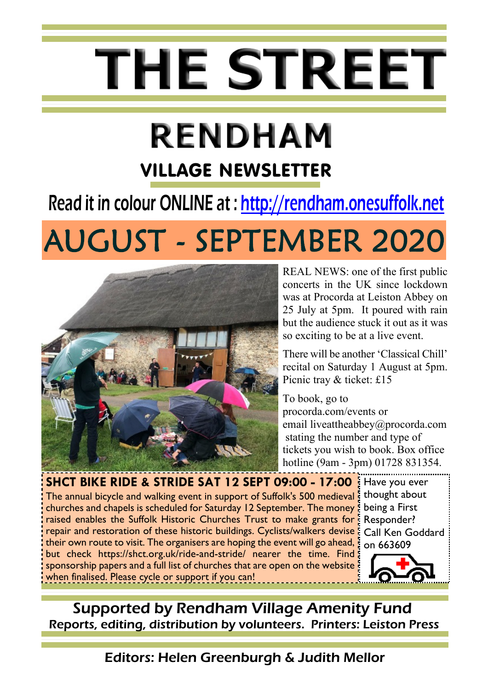# **THE STREET**

# **RENDHAM** VILLAGE NEWSLETTER

# Read it in colour ONLINE at : [http://rendham.onesuffolk.net](http://rendham.onesuffolk.net/)

# **AUGUST - SEPTEMBER 2020**



REAL NEWS: one of the first public concerts in the UK since lockdown was at Procorda at Leiston Abbey on 25 July at 5pm. It poured with rain but the audience stuck it out as it was so exciting to be at a live event.

There will be another 'Classical Chill' recital on Saturday 1 August at 5pm. Picnic tray & ticket: £15

To book, go to procorda.com/events or email liveattheabbey@procorda.com stating the number and type of tickets you wish to book. Box office hotline (9am - 3pm) 01728 831354.

The annual bicycle and walking event in support of Suffolk's 500 medieval: churches and chapels is scheduled for Saturday 12 September. The money raised enables the Suffolk Historic Churches Trust to make grants for repair and restoration of these historic buildings. Cyclists/walkers devise their own route to visit. The organisers are hoping the event will go ahead, but check https://shct.org.uk/ride-and-stride/ nearer the time. Find sponsorship papers and a full list of churches that are open on the website when finalised. Please cycle or support if you can! **SHCT BIKE RIDE & STRIDE SAT 12 SEPT 09:00 - 17:00** Have you ever

thought about being a First Responder? Call Ken Goddard on 663609



Supported by Rendham Village Amenity Fund Reports, editing, distribution by volunteers. Printers: Leiston Press

Editors: Helen Greenburgh & Judith Mellor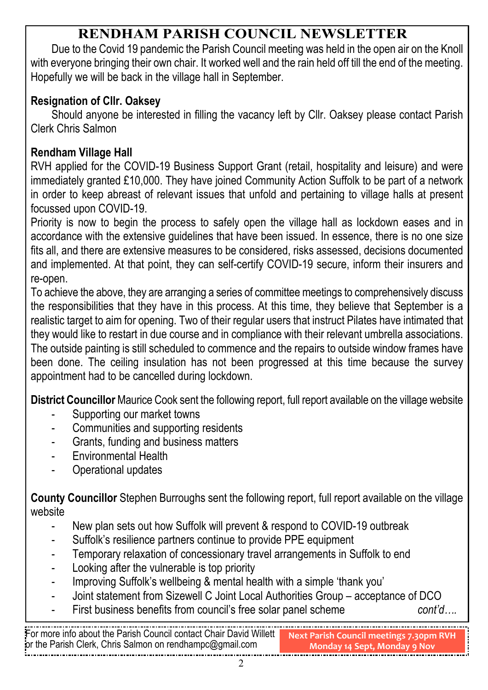#### **RENDHAM PARISH COUNCIL NEWSLETTER**

Due to the Covid 19 pandemic the Parish Council meeting was held in the open air on the Knoll with everyone bringing their own chair. It worked well and the rain held off till the end of the meeting. Hopefully we will be back in the village hall in September.

#### **Resignation of Cllr. Oaksey**

Should anyone be interested in filling the vacancy left by Cllr. Oaksey please contact Parish Clerk Chris Salmon

#### **Rendham Village Hall**

RVH applied for the COVID-19 Business Support Grant (retail, hospitality and leisure) and were immediately granted £10,000. They have joined Community Action Suffolk to be part of a network in order to keep abreast of relevant issues that unfold and pertaining to village halls at present focussed upon COVID-19.

Priority is now to begin the process to safely open the village hall as lockdown eases and in accordance with the extensive guidelines that have been issued. In essence, there is no one size fits all, and there are extensive measures to be considered, risks assessed, decisions documented and implemented. At that point, they can self-certify COVID-19 secure, inform their insurers and re-open.

To achieve the above, they are arranging a series of committee meetings to comprehensively discuss the responsibilities that they have in this process. At this time, they believe that September is a realistic target to aim for opening. Two of their regular users that instruct Pilates have intimated that they would like to restart in due course and in compliance with their relevant umbrella associations. The outside painting is still scheduled to commence and the repairs to outside window frames have been done. The ceiling insulation has not been progressed at this time because the survey appointment had to be cancelled during lockdown.

**District Councillor** Maurice Cook sent the following report, full report available on the village website

- Supporting our market towns
- Communities and supporting residents
- Grants, funding and business matters
- Environmental Health
- Operational updates

**County Councillor** Stephen Burroughs sent the following report, full report available on the village website

- New plan sets out how Suffolk will prevent & respond to COVID-19 outbreak
- Suffolk's resilience partners continue to provide PPE equipment
- Temporary relaxation of concessionary travel arrangements in Suffolk to end
- Looking after the vulnerable is top priority
- Improving Suffolk's wellbeing & mental health with a simple 'thank you'
- Joint statement from Sizewell C Joint Local Authorities Group acceptance of DCO
- First business benefits from council's free solar panel scheme *cont'd….*

For more info about the Parish Council contact Chair David Willett or the Parish Clerk, Chris Salmon on rendhampc@gmail.com **Next Parish Council meetings 7.30pm RVH Monday 14 Sept, Monday 9 Nov**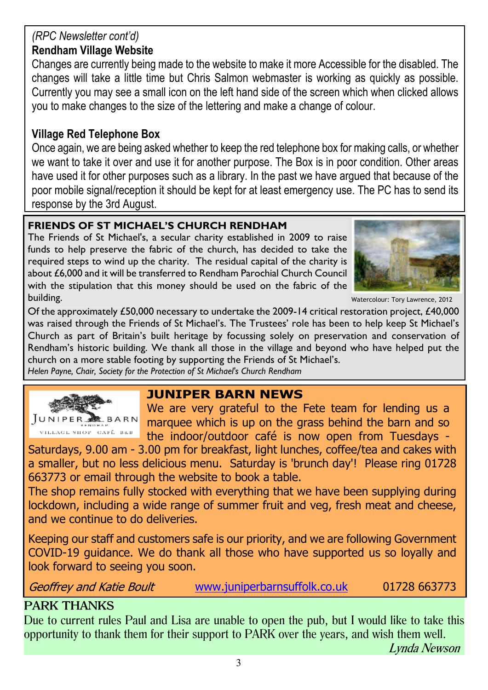#### *(RPC Newsletter cont'd)*

#### **Rendham Village Website**

Changes are currently being made to the website to make it more Accessible for the disabled. The changes will take a little time but Chris Salmon webmaster is working as quickly as possible. Currently you may see a small icon on the left hand side of the screen which when clicked allows you to make changes to the size of the lettering and make a change of colour.

#### **Village Red Telephone Box**

Once again, we are being asked whether to keep the red telephone box for making calls, or whether we want to take it over and use it for another purpose. The Box is in poor condition. Other areas have used it for other purposes such as a library. In the past we have argued that because of the poor mobile signal/reception it should be kept for at least emergency use. The PC has to send its response by the 3rd August.

#### **FRIENDS OF ST MICHAEL'S CHURCH RENDHAM**

The Friends of St Michael's, a secular charity established in 2009 to raise funds to help preserve the fabric of the church, has decided to take the required steps to wind up the charity. The residual capital of the charity is about £6,000 and it will be transferred to Rendham Parochial Church Council with the stipulation that this money should be used on the fabric of the building.



Watercolour: Tory Lawrence, 2012

Of the approximately £50,000 necessary to undertake the 2009-14 critical restoration project, £40,000 was raised through the Friends of St Michael's. The Trustees' role has been to help keep St Michael's Church as part of Britain's built heritage by focussing solely on preservation and conservation of Rendham's historic building. We thank all those in the village and beyond who have helped put the church on a more stable footing by supporting the Friends of St Michael's. *Helen Payne, Chair, Society for the Protection of St Michael's Church Rendham*



#### **JUNIPER BARN NEWS**

We are very grateful to the Fete team for lending us a marquee which is up on the grass behind the barn and so the indoor/outdoor café is now open from Tuesdays -

Saturdays, 9.00 am - 3.00 pm for breakfast, light lunches, coffee/tea and cakes with a smaller, but no less delicious menu. Saturday is 'brunch day'! Please ring 01728 663773 or email through the website to book a table.

The shop remains fully stocked with everything that we have been supplying during lockdown, including a wide range of summer fruit and veg, fresh meat and cheese, and we continue to do deliveries.

Keeping our staff and customers safe is our priority, and we are following Government COVID-19 guidance. We do thank all those who have supported us so loyally and look forward to seeing you soon.

**Geoffrey and Katie Boult** 

[www.juniperbarnsuffolk.co.uk](http://www.juniperbarnsuffolk.co.uk) 01728 663773

#### **PARK THANKS**

Due to current rules Paul and Lisa are unable to open the pub, but I would like to take this opportunity to thank them for their support to PARK over the years, and wish them well.

Lynda Newson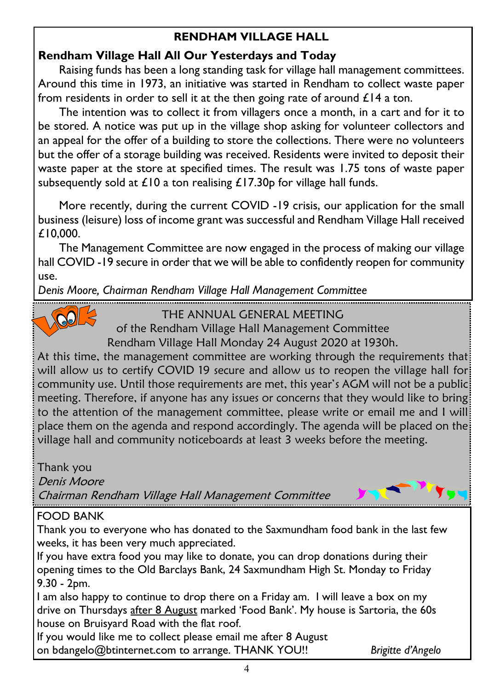#### **RENDHAM VILLAGE HALL**

#### **Rendham Village Hall All Our Yesterdays and Today**

Raising funds has been a long standing task for village hall management committees. Around this time in 1973, an initiative was started in Rendham to collect waste paper from residents in order to sell it at the then going rate of around  $\mathcal{L}14$  a ton.

The intention was to collect it from villagers once a month, in a cart and for it to be stored. A notice was put up in the village shop asking for volunteer collectors and an appeal for the offer of a building to store the collections. There were no volunteers but the offer of a storage building was received. Residents were invited to deposit their waste paper at the store at specified times. The result was 1.75 tons of waste paper subsequently sold at  $\pounds$ 10 a ton realising  $\pounds$ 17.30p for village hall funds.

More recently, during the current COVID -19 crisis, our application for the small business (leisure) loss of income grant was successful and Rendham Village Hall received £10,000.

The Management Committee are now engaged in the process of making our village hall COVID -19 secure in order that we will be able to confidently reopen for community use.

*Denis Moore, Chairman Rendham Village Hall Management Committee*



THE ANNUAL GENERAL MEETING

of the Rendham Village Hall Management Committee

Rendham Village Hall Monday 24 August 2020 at 1930h.

At this time, the management committee are working through the requirements that will allow us to certify COVID 19 secure and allow us to reopen the village hall for community use. Until those requirements are met, this year's AGM will not be a public meeting. Therefore, if anyone has any issues or concerns that they would like to bring to the attention of the management committee, please write or email me and I will place them on the agenda and respond accordingly. The agenda will be placed on the village hall and community noticeboards at least 3 weeks before the meeting.

Thank you

Denis Moore

Chairman Rendham Village Hall Management Committee

#### FOOD BANK

Thank you to everyone who has donated to the Saxmundham food bank in the last few weeks, it has been very much appreciated.

If you have extra food you may like to donate, you can drop donations during their opening times to the Old Barclays Bank, 24 Saxmundham High St. Monday to Friday 9.30 - 2pm.

I am also happy to continue to drop there on a Friday am. I will leave a box on my drive on Thursdays after 8 August marked 'Food Bank'. My house is Sartoria, the 60s house on Bruisyard Road with the flat roof.

If you would like me to collect please email me after 8 August

on bdangelo@btinternet.com to arrange. THANK YOU!! *Brigitte d'Angelo*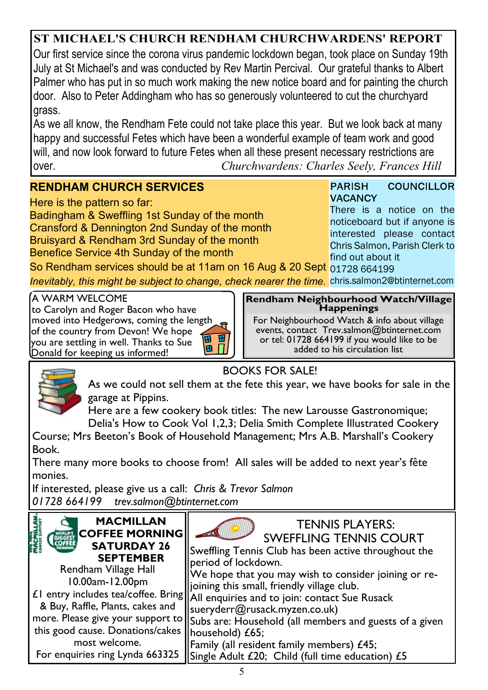#### **ST MICHAEL'S CHURCH RENDHAM CHURCHWARDENS' REPORT**

Our first service since the corona virus pandemic lockdown began, took place on Sunday 19th July at St Michael's and was conducted by Rev Martin Percival. Our grateful thanks to Albert Palmer who has put in so much work making the new notice board and for painting the church door. Also to Peter Addingham who has so generously volunteered to cut the churchyard grass.

As we all know, the Rendham Fete could not take place this year. But we look back at many happy and successful Fetes which have been a wonderful example of team work and good will, and now look forward to future Fetes when all these present necessary restrictions are over. *Churchwardens: Charles Seely, Frances Hill*

#### **RENDHAM CHURCH SERVICES**

Here is the pattern so far:

Badingham & Sweffling 1st Sunday of the month Cransford & Dennington 2nd Sunday of the month Bruisyard & Rendham 3rd Sunday of the month Benefice Service 4th Sunday of the month

**COUNCILLOR PARISH VACANCY** There is a notice on the

noticeboard but if anyone is interested please contact Chris Salmon, Parish Clerk to find out about it

So Rendham services should be at 11am on 16 Aug & 20 Sept 01728 664199 *Inevitably, this might be subject to change, check nearer the time.* chris.salmon2@btinternet.com

ব

A WARM WELCOME to Carolyn and Roger Bacon who have moved into Hedgerows, coming the length of the country from Devon! We hope 面 田 you are settling in well. Thanks to Sue B Donald for keeping us informed!

**Rendham Neighbourhood Watch/Village Happenings**

For Neighbourhood Watch & info about village events, contact Trev.salmon@btinternet.com or tel: 01728 664199 if you would like to be added to his circulation list



BOOKS FOR SALE!

As we could not sell them at the fete this year, we have books for sale in the garage at Pippins.

Here are a few cookery book titles: The new Larousse Gastronomique; Delia's How to Cook Vol 1,2,3; Delia Smith Complete Illustrated Cookery

Course; Mrs Beeton's Book of Household Management; Mrs A.B. Marshall's Cookery Book.

There many more books to choose from! All sales will be added to next year's fête monies.

If interested, please give us a call: *Chris & Trevor Salmon 01728 664199 trev.salmon@btinternet.com*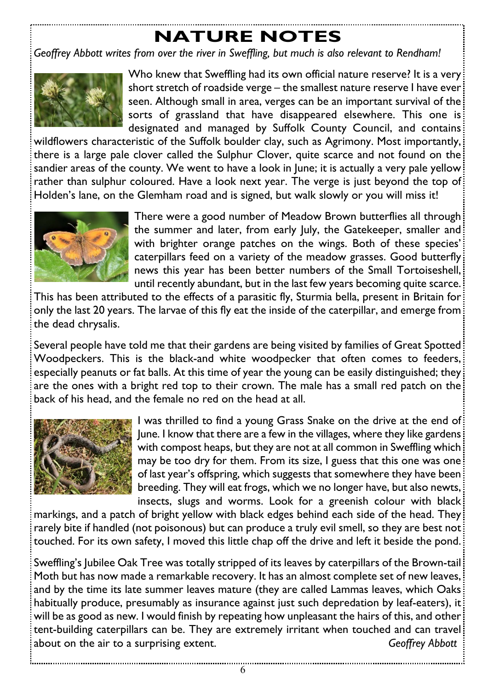### **NATURE NOTES**

*Geoffrey Abbott writes from over the river in Sweffling, but much is also relevant to Rendham!*



Who knew that Sweffling had its own official nature reserve? It is a very short stretch of roadside verge – the smallest nature reserve I have ever seen. Although small in area, verges can be an important survival of the sorts of grassland that have disappeared elsewhere. This one is designated and managed by Suffolk County Council, and contains

wildflowers characteristic of the Suffolk boulder clay, such as Agrimony. Most importantly, there is a large pale clover called the Sulphur Clover, quite scarce and not found on the sandier areas of the county. We went to have a look in June; it is actually a very pale yellow rather than sulphur coloured. Have a look next year. The verge is just beyond the top of Holden's lane, on the Glemham road and is signed, but walk slowly or you will miss it!



There were a good number of Meadow Brown butterflies all through the summer and later, from early July, the Gatekeeper, smaller and with brighter orange patches on the wings. Both of these species' caterpillars feed on a variety of the meadow grasses. Good butterfly news this year has been better numbers of the Small Tortoiseshell, until recently abundant, but in the last few years becoming quite scarce.

This has been attributed to the effects of a parasitic fly, Sturmia bella, present in Britain for only the last 20 years. The larvae of this fly eat the inside of the caterpillar, and emerge from the dead chrysalis.

Several people have told me that their gardens are being visited by families of Great Spotted Woodpeckers. This is the black-and white woodpecker that often comes to feeders, especially peanuts or fat balls. At this time of year the young can be easily distinguished; they are the ones with a bright red top to their crown. The male has a small red patch on the back of his head, and the female no red on the head at all.



I was thrilled to find a young Grass Snake on the drive at the end of June. I know that there are a few in the villages, where they like gardens with compost heaps, but they are not at all common in Sweffling which may be too dry for them. From its size, I guess that this one was one of last year's offspring, which suggests that somewhere they have been breeding. They will eat frogs, which we no longer have, but also newts, insects, slugs and worms. Look for a greenish colour with black

markings, and a patch of bright yellow with black edges behind each side of the head. They rarely bite if handled (not poisonous) but can produce a truly evil smell, so they are best not touched. For its own safety, I moved this little chap off the drive and left it beside the pond.

Sweffling's Jubilee Oak Tree was totally stripped of its leaves by caterpillars of the Brown-tail! Moth but has now made a remarkable recovery. It has an almost complete set of new leaves, and by the time its late summer leaves mature (they are called Lammas leaves, which Oaks habitually produce, presumably as insurance against just such depredation by leaf-eaters), it will be as good as new. I would finish by repeating how unpleasant the hairs of this, and other tent-building caterpillars can be. They are extremely irritant when touched and can travel about on the air to a surprising extent. *Geoffrey Abbott*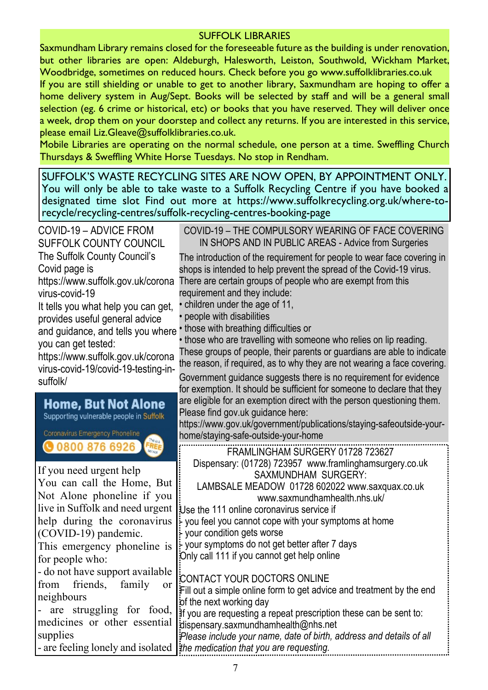#### SUFFOLK LIBRARIES

Saxmundham Library remains closed for the foreseeable future as the building is under renovation, but other libraries are open: Aldeburgh, Halesworth, Leiston, Southwold, Wickham Market, Woodbridge, sometimes on reduced hours. Check before you go www.suffolklibraries.co.uk

If you are still shielding or unable to get to another library, Saxmundham are hoping to offer a home delivery system in Aug/Sept. Books will be selected by staff and will be a general small selection (eg. 6 crime or historical, etc) or books that you have reserved. They will deliver once a week, drop them on your doorstep and collect any returns. If you are interested in this service, please email Liz.Gleave@suffolklibraries.co.uk.

Mobile Libraries are operating on the normal schedule, one person at a time. Sweffling Church Thursdays & Sweffling White Horse Tuesdays. No stop in Rendham.

SUFFOLK'S WASTE RECYCLING SITES ARE NOW OPEN, BY APPOINTMENT ONLY. You will only be able to take waste to a Suffolk Recycling Centre if you have booked a designated time slot Find out more at https://www.suffolkrecycling.org.uk/where-torecycle/recycling-centres/suffolk-recycling-centres-booking-page

| COVID-19 - ADVICE FROM<br>SUFFOLK COUNTY COUNCIL                                                                                                                                                                                                                   | COVID-19 - THE COMPULSORY WEARING OF FACE COVERING<br>IN SHOPS AND IN PUBLIC AREAS - Advice from Surgeries                                                                                                                                                      |
|--------------------------------------------------------------------------------------------------------------------------------------------------------------------------------------------------------------------------------------------------------------------|-----------------------------------------------------------------------------------------------------------------------------------------------------------------------------------------------------------------------------------------------------------------|
| The Suffolk County Council's<br>Covid page is<br>https://www.suffolk.gov.uk/corona                                                                                                                                                                                 | The introduction of the requirement for people to wear face covering in<br>shops is intended to help prevent the spread of the Covid-19 virus.<br>There are certain groups of people who are exempt from this                                                   |
| virus-covid-19<br>It tells you what help you can get,<br>provides useful general advice                                                                                                                                                                            | requirement and they include:<br>• children under the age of 11,<br>people with disabilities                                                                                                                                                                    |
| and guidance, and tells you where<br>you can get tested:<br>https://www.suffolk.gov.uk/corona                                                                                                                                                                      | those with breathing difficulties or<br>those who are travelling with someone who relies on lip reading.<br>These groups of people, their parents or guardians are able to indicate<br>the reason, if required, as to why they are not wearing a face covering. |
| virus-covid-19/covid-19-testing-in-<br>suffolk/                                                                                                                                                                                                                    | Government guidance suggests there is no requirement for evidence<br>for exemption. It should be sufficient for someone to declare that they                                                                                                                    |
| <b>Home, But Not Alone</b><br>Supporting vulnerable people in Suffolk<br>Coronavirus Emergency Phoneline                                                                                                                                                           | are eligible for an exemption direct with the person questioning them.<br>Please find gov.uk guidance here:<br>https://www.gov.uk/government/publications/staying-safeoutside-your-<br>home/staying-safe-outside-your-home                                      |
|                                                                                                                                                                                                                                                                    |                                                                                                                                                                                                                                                                 |
| <b>@08008766926</b><br>FREE                                                                                                                                                                                                                                        | FRAMLINGHAM SURGERY 01728 723627                                                                                                                                                                                                                                |
| You can call the Home, But                                                                                                                                                                                                                                         | Dispensary: (01728) 723957 www.framlinghamsurgery.co.uk<br>SAXMUNDHAM SURGERY:<br>LAMBSALE MEADOW 01728 602022 www.saxquax.co.uk<br>www.saxmundhamhealth.nhs.uk/                                                                                                |
|                                                                                                                                                                                                                                                                    | Use the 111 online coronavirus service if<br>you feel you cannot cope with your symptoms at home<br>your condition gets worse                                                                                                                                   |
| This emergency phoneline is                                                                                                                                                                                                                                        | your symptoms do not get better after 7 days<br>Only call 111 if you cannot get help online                                                                                                                                                                     |
| If you need urgent help<br>Not Alone phoneline if you<br>live in Suffolk and need urgent<br>help during the coronavirus<br>(COVID-19) pandemic.<br>for people who:<br>- do not have support available<br>friends.<br>family<br>from<br><sub>or</sub><br>neighbours | <b>CONTACT YOUR DOCTORS ONLINE</b><br>Fill out a simple online form to get advice and treatment by the end<br>of the next working day                                                                                                                           |
| - are struggling for food,<br>medicines or other essential<br>supplies<br>- are feeling lonely and isolated                                                                                                                                                        | If you are requesting a repeat prescription these can be sent to:<br>dispensary.saxmundhamhealth@nhs.net<br>Please include your name, date of birth, address and details of all<br>the medication that you are requesting.                                      |